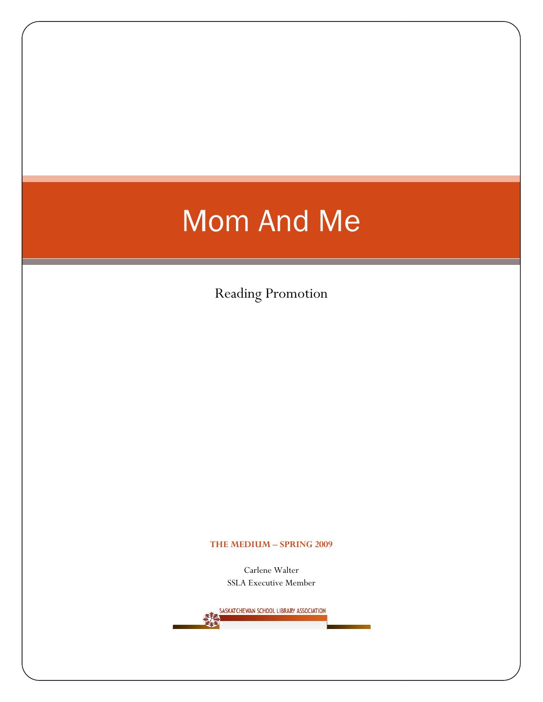# Mom And Me

Reading Promotion

#### THE MEDIUM – SPRING 2009

Carlene Walter SSLA Executive Member

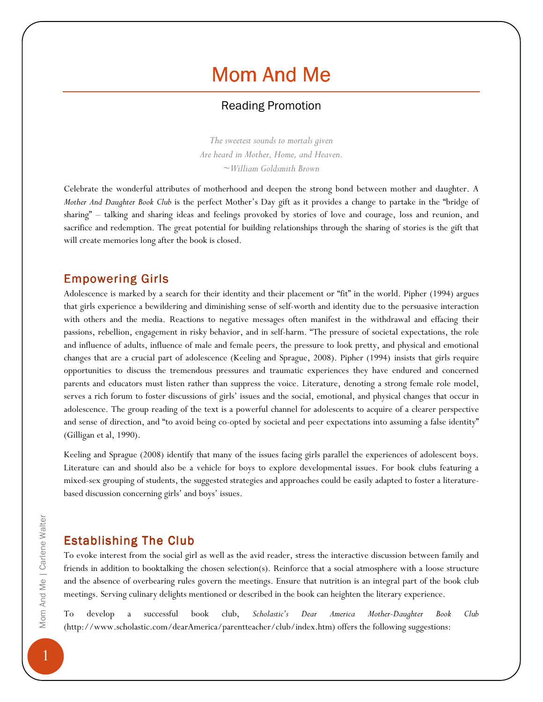# Mom And Me

## Reading Promotion

The sweetest sounds to mortals given Are heard in Mother, Home, and Heaven.  $\sim$ William Goldsmith Brown

Celebrate the wonderful attributes of motherhood and deepen the strong bond between mother and daughter. A Mother And Daughter Book Club is the perfect Mother's Day gift as it provides a change to partake in the "bridge of sharing" – talking and sharing ideas and feelings provoked by stories of love and courage, loss and reunion, and sacrifice and redemption. The great potential for building relationships through the sharing of stories is the gift that will create memories long after the book is closed.

# **Empowering Girls**

Adolescence is marked by a search for their identity and their placement or "fit" in the world. Pipher (1994) argues that girls experience a bewildering and diminishing sense of self-worth and identity due to the persuasive interaction with others and the media. Reactions to negative messages often manifest in the withdrawal and effacing their passions, rebellion, engagement in risky behavior, and in self-harm. "The pressure of societal expectations, the role and influence of adults, influence of male and female peers, the pressure to look pretty, and physical and emotional changes that are a crucial part of adolescence (Keeling and Sprague, 2008). Pipher (1994) insists that girls require opportunities to discuss the tremendous pressures and traumatic experiences they have endured and concerned parents and educators must listen rather than suppress the voice. Literature, denoting a strong female role model, serves a rich forum to foster discussions of girls' issues and the social, emotional, and physical changes that occur in adolescence. The group reading of the text is a powerful channel for adolescents to acquire of a clearer perspective and sense of direction, and "to avoid being co-opted by societal and peer expectations into assuming a false identity" (Gilligan et al, 1990).

Keeling and Sprague (2008) identify that many of the issues facing girls parallel the experiences of adolescent boys. Literature can and should also be a vehicle for boys to explore developmental issues. For book clubs featuring a mixed-sex grouping of students, the suggested strategies and approaches could be easily adapted to foster a literaturebased discussion concerning girls' and boys' issues.

# **Establishing The Club**

To evoke interest from the social girl as well as the avid reader, stress the interactive discussion between family and friends in addition to booktalking the chosen selection(s). Reinforce that a social atmosphere with a loose structure and the absence of overbearing rules govern the meetings. Ensure that nutrition is an integral part of the book club meetings. Serving culinary delights mentioned or described in the book can heighten the literary experience.

To develop a successful book club, Scholastic's Dear America Mother-Daughter Book Club (http://www.scholastic.com/dearAmerica/parentteacher/club/index.htm) offers the following suggestions: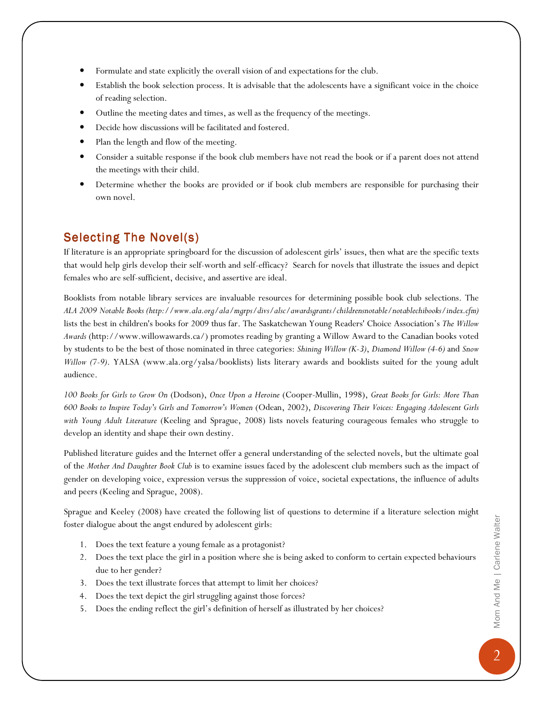- Formulate and state explicitly the overall vision of and expectations for the club.
- Establish the book selection process. It is advisable that the adolescents have a significant voice in the choice of reading selection.
- Outline the meeting dates and times, as well as the frequency of the meetings.
- Decide how discussions will be facilitated and fostered.
- Plan the length and flow of the meeting.
- Consider a suitable response if the book club members have not read the book or if a parent does not attend the meetings with their child.
- Determine whether the books are provided or if book club members are responsible for purchasing their own novel.

# Selecting The Novel(s)

If literature is an appropriate springboard for the discussion of adolescent girls' issues, then what are the specific texts that would help girls develop their self-worth and self-efficacy? Search for novels that illustrate the issues and depict females who are self-sufficient, decisive, and assertive are ideal.

Booklists from notable library services are invaluable resources for determining possible book club selections. The ALA 2009 Notable Books (http://www.ala.org/ala/mgrps/divs/alsc/awardsgrants/childrensnotable/notablechibooks/index.cfm) lists the best in children's books for 2009 thus far. The Saskatchewan Young Readers' Choice Association's The Willow Awards (http://www.willowawards.ca/) promotes reading by granting a Willow Award to the Canadian books voted by students to be the best of those nominated in three categories: Shining Willow (K-3), Diamond Willow (4-6) and Snow Willow (7-9). YALSA (www.ala.org/yalsa/booklists) lists literary awards and booklists suited for the young adult audience.

100 Books for Girls to Grow On (Dodson), Once Upon a Heroine (Cooper-Mullin, 1998), Great Books for Girls: More Than 600 Books to Inspire Today's Girls and Tomorrow's Women (Odean, 2002), Discovering Their Voices: Engaging Adolescent Girls with Young Adult Literature (Keeling and Sprague, 2008) lists novels featuring courageous females who struggle to develop an identity and shape their own destiny.

Published literature guides and the Internet offer a general understanding of the selected novels, but the ultimate goal of the Mother And Daughter Book Club is to examine issues faced by the adolescent club members such as the impact of gender on developing voice, expression versus the suppression of voice, societal expectations, the influence of adults and peers (Keeling and Sprague, 2008).

Sprague and Keeley (2008) have created the following list of questions to determine if a literature selection might foster dialogue about the angst endured by adolescent girls:

- 1. Does the text feature a young female as a protagonist?
- 2. Does the text place the girl in a position where she is being asked to conform to certain expected behaviours due to her gender?
- 3. Does the text illustrate forces that attempt to limit her choices?
- 4. Does the text depict the girl struggling against those forces?
- 5. Does the ending reflect the girl's definition of herself as illustrated by her choices?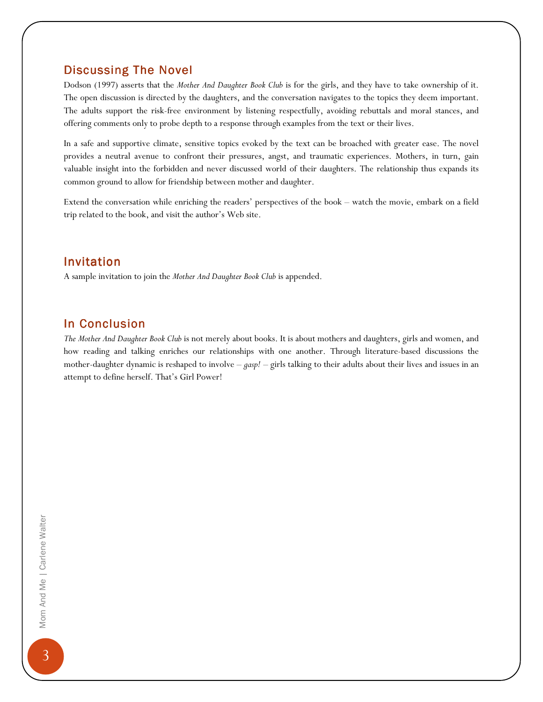### Discussing The Novel

Dodson (1997) asserts that the Mother And Daughter Book Club is for the girls, and they have to take ownership of it. The open discussion is directed by the daughters, and the conversation navigates to the topics they deem important. The adults support the risk-free environment by listening respectfully, avoiding rebuttals and moral stances, and offering comments only to probe depth to a response through examples from the text or their lives.

In a safe and supportive climate, sensitive topics evoked by the text can be broached with greater ease. The novel provides a neutral avenue to confront their pressures, angst, and traumatic experiences. Mothers, in turn, gain valuable insight into the forbidden and never discussed world of their daughters. The relationship thus expands its common ground to allow for friendship between mother and daughter.

Extend the conversation while enriching the readers' perspectives of the book – watch the movie, embark on a field trip related to the book, and visit the author's Web site.

### **Invitation**

A sample invitation to join the Mother And Daughter Book Club is appended.

### In Conclusion

The Mother And Daughter Book Club is not merely about books. It is about mothers and daughters, girls and women, and how reading and talking enriches our relationships with one another. Through literature-based discussions the mother-daughter dynamic is reshaped to involve  $-gasp!$  – girls talking to their adults about their lives and issues in an attempt to define herself. That's Girl Power!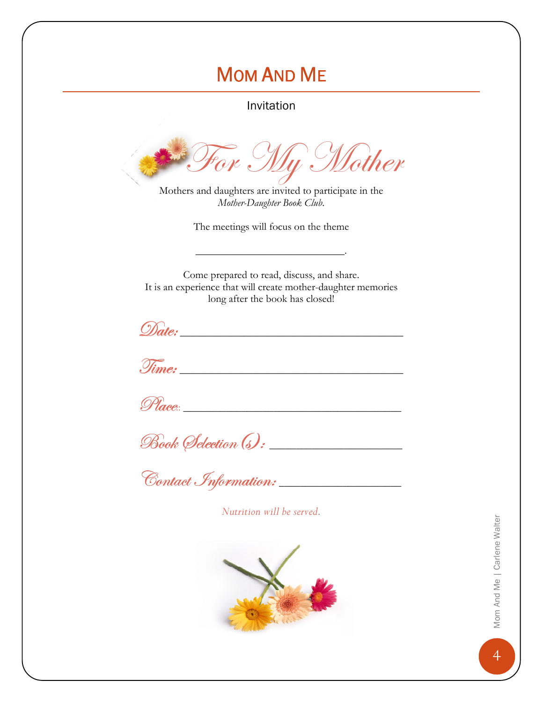# **MOM AND ME**

Invitation

or My Mother

Mothers and daughters are invited to participate in the Mother-Daughter Book Club.

The meetings will focus on the theme

Come prepared to read, discuss, and share. It is an experience that will create mother-daughter memories long after the book has closed!

Place:

Book Selection (s) :

Contact Information:

Nutrition will be served.